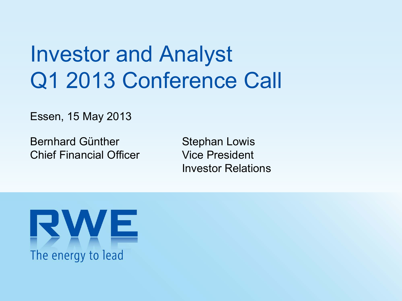# Investor and Analyst Q1 2013 Conference Call

Essen, 15 May 2013

Bernhard Günther Chief Financial Officer Stephan Lowis Vice PresidentInvestor Relations

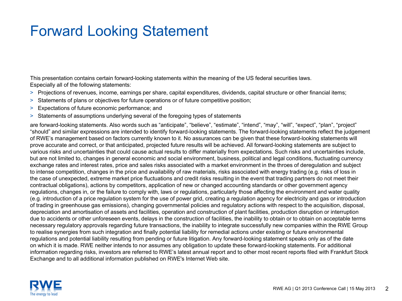### Forward Looking Statement

This presentation contains certain forward-looking statements within the meaning of the US federal securities laws. Especially all of the following statements:

- > Projections of revenues, income, earnings per share, capital expenditures, dividends, capital structure or other financial items;
- > Statements of plans or objectives for future operations or of future competitive position;
- > Expectations of future economic performance; and
- > Statements of assumptions underlying several of the foregoing types of statements

are forward-looking statements. Also words such as "anticipate", "believe", "estimate", "intend", "may", "will", "expect", "plan", "project" "should" and similar expressions are intended to identify forward-looking statements. The forward-looking statements reflect the judgement of RWE's management based on factors currently known to it. No assurances can be given that these forward-looking statements will prove accurate and correct, or that anticipated, projected future results will be achieved. All forward-looking statements are subject to various risks and uncertainties that could cause actual results to differ materially from expectations. Such risks and uncertainties include, but are not limited to, changes in general economic and social environment, business, political and legal conditions, fluctuating currency exchange rates and interest rates, price and sales risks associated with a market environment in the throes of deregulation and subject to intense competition, changes in the price and availability of raw materials, risks associated with energy trading (e.g. risks of loss in the case of unexpected, extreme market price fluctuations and credit risks resulting in the event that trading partners do not meet their contractual obligations), actions by competitors, application of new or changed accounting standards or other government agency regulations, changes in, or the failure to comply with, laws or regulations, particularly those affecting the environment and water quality (e.g. introduction of a price regulation system for the use of power grid, creating a regulation agency for electricity and gas or introduction of trading in greenhouse gas emissions), changing governmental policies and regulatory actions with respect to the acquisition, disposal, depreciation and amortisation of assets and facilities, operation and construction of plant facilities, production disruption or interruption due to accidents or other unforeseen events, delays in the construction of facilities, the inability to obtain or to obtain on acceptable terms necessary regulatory approvals regarding future transactions, the inability to integrate successfully new companies within the RWE Group to realise synergies from such integration and finally potential liability for remedial actions under existing or future environmental regulations and potential liability resulting from pending or future litigation. Any forward-looking statement speaks only as of the date on which it is made. RWE neither intends to nor assumes any obligation to update these forward-looking statements. For additional information regarding risks, investors are referred to RWE's latest annual report and to other most recent reports filed with Frankfurt Stock Exchange and to all additional information published on RWE's Internet Web site.

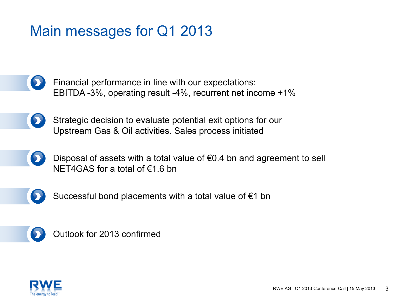### Main messages for Q1 2013

Financial performance in line with our expectations: EBITDA -3%, operating result -4%, recurrent net income +1%

- Strategic decision to evaluate potential exit options for our  $\bullet$ Upstream Gas & Oil activities. Sales process initiated
	- Disposal of assets with a total value of  $\epsilon$ 0.4 bn and agreement to sell NET4GAS for a total of  $\epsilon$ 1.6 bn



Successful bond placements with a total value of €1 bn



Outlook for 2013 confirmed

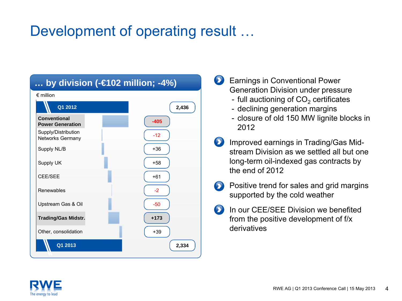### Development of operating result …

| by division (- $\in$ 102 million; -4%)  |        |  |  |  |  |  |  |
|-----------------------------------------|--------|--|--|--|--|--|--|
| $\epsilon$ million                      |        |  |  |  |  |  |  |
| Q1 2012                                 | 2,436  |  |  |  |  |  |  |
| Conventional<br><b>Power Generation</b> | $-405$ |  |  |  |  |  |  |
| Supply/Distribution<br>Networks Germany | $-12$  |  |  |  |  |  |  |
| Supply NL/B                             | $+36$  |  |  |  |  |  |  |
| Supply UK                               | $+58$  |  |  |  |  |  |  |
| <b>CEE/SEE</b>                          | $+61$  |  |  |  |  |  |  |
| Renewables                              | $-2$   |  |  |  |  |  |  |
| Upstream Gas & Oil                      | $-50$  |  |  |  |  |  |  |
| <b>Trading/Gas Midstr.</b>              | $+173$ |  |  |  |  |  |  |
| Other, consolidation                    | $+39$  |  |  |  |  |  |  |
| Q1 2013                                 | 2,334  |  |  |  |  |  |  |

**Earnings in Conventional Power** Generation Division under pressure

- full auctioning of CO $_{\rm 2}$  certificates
- declining generation margins
- closure of old 150 MW lignite blocks in 2012
- **D** Improved earnings in Trading/Gas Midstream Division as we settled all but one long-term oil-indexed gas contracts by the end of 2012
- **Positive trend for sales and grid margins** supported by the cold weather
- In our CEE/SEE Division we benefited from the positive development of f/x derivatives

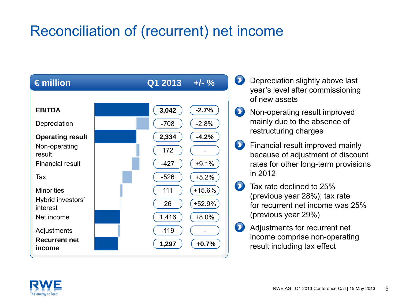### Reconciliation of (recurrent) net income

| $\epsilon$ million             | $Q1 2013 +/-$ % |          |
|--------------------------------|-----------------|----------|
|                                |                 |          |
| <b>EBITDA</b>                  | 3,042           | $-2.7%$  |
| Depreciation                   | $-708$          | $-2.8%$  |
| <b>Operating result</b>        | 2,334           | $-4.2%$  |
| Non-operating<br>result        | 172             |          |
| <b>Financial result</b>        | $-427$          | $+9.1%$  |
| Tax                            | $-526$          | $+5.2%$  |
| <b>Minorities</b>              | 111             | $+15.6%$ |
| Hybrid investors'<br>interest  | 26              | +52.9%   |
| Net income                     | 1,416           | $+8.0%$  |
| Adjustments                    | $-119$          |          |
| <b>Recurrent net</b><br>income | 1,297           | $+0.7%$  |

- **Depreciation slightly above last** year's level after commissioning of new assets
- **EX** Non-operating result improved mainly due to the absence of restructuring charges
- **EX** Financial result improved mainly because of adjustment of discount rates for other long-term provisions in 2012
- Tax rate declined to 25%(previous year 28%); tax rate for recurrent net income was 25% (previous year 29%)
- **Adjustments for recurrent net** income comprise non-operating result including tax effect

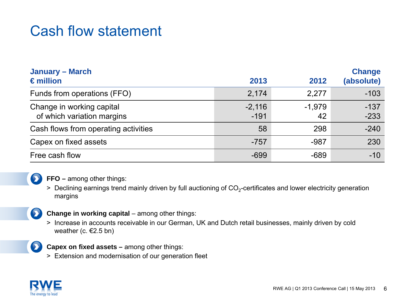### Cash flow statement

| <b>January – March</b><br>$\epsilon$ million            | 2013               | 2012           | <b>Change</b><br>(absolute) |
|---------------------------------------------------------|--------------------|----------------|-----------------------------|
| Funds from operations (FFO)                             | 2,174              | 2,277          | $-103$                      |
| Change in working capital<br>of which variation margins | $-2,116$<br>$-191$ | $-1,979$<br>42 | $-137$<br>$-233$            |
| Cash flows from operating activities                    | 58                 | 298            | $-240$                      |
| Capex on fixed assets                                   | $-757$             | $-987$         | 230                         |
| Free cash flow                                          | $-699$             | $-689$         | $-10$                       |



> Declining earnings trend mainly driven by full auctioning of CO<sub>2</sub>-certificates and lower electricity generation margins



#### **Change in working capital** – among other things:

> Increase in accounts receivable in our German, UK and Dutch retail businesses, mainly driven by cold weather (c.  $E$ 2.5 bn)



**Capex on fixed assets –** among other things:

> Extension and modernisation of our generation fleet

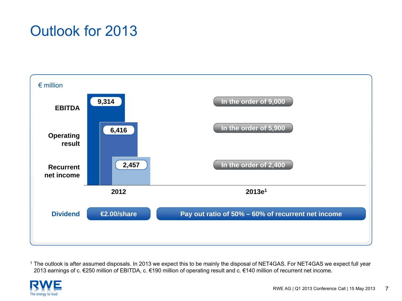### Outlook for 2013



1 The outlook is after assumed disposals. In 2013 we expect this to be mainly the disposal of NET4GAS. For NET4GAS we expect full year 2013 earnings of c. €250 million of EBITDA, c. €190 million of operating result and c. €140 million of recurrent net income.

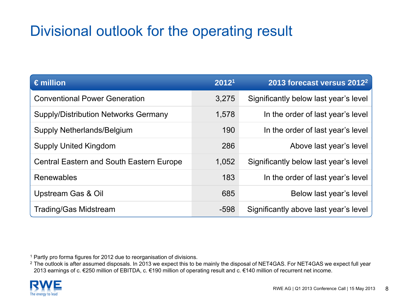### Divisional outlook for the operating result

| $\epsilon$ million                              | 20121  | 2013 forecast versus 2012 <sup>2</sup> |
|-------------------------------------------------|--------|----------------------------------------|
| <b>Conventional Power Generation</b>            | 3,275  | Significantly below last year's level  |
| <b>Supply/Distribution Networks Germany</b>     | 1,578  | In the order of last year's level      |
| <b>Supply Netherlands/Belgium</b>               | 190    | In the order of last year's level      |
| <b>Supply United Kingdom</b>                    | 286    | Above last year's level                |
| <b>Central Eastern and South Eastern Europe</b> | 1,052  | Significantly below last year's level  |
| Renewables                                      | 183    | In the order of last year's level      |
| Upstream Gas & Oil                              | 685    | Below last year's level                |
| <b>Trading/Gas Midstream</b>                    | $-598$ | Significantly above last year's level  |

<sup>1</sup> Partly pro forma figures for 2012 due to reorganisation of divisions.

 $^2$  The outlook is after assumed disposals. In 2013 we expect this to be mainly the disposal of NET4GAS. For NET4GAS we expect full year 2013 earnings of c. €250 million of EBITDA, c. €190 million of operating result and c. €140 million of recurrent net income.

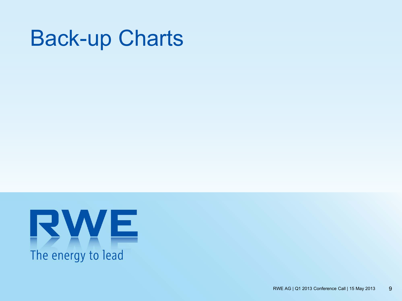## Back-up Charts

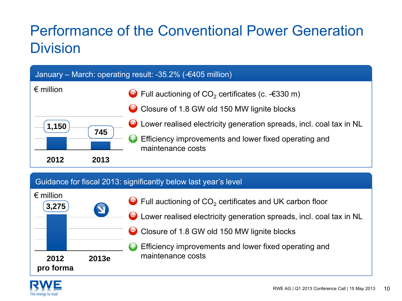### Performance of the Conventional Power Generation **Division**



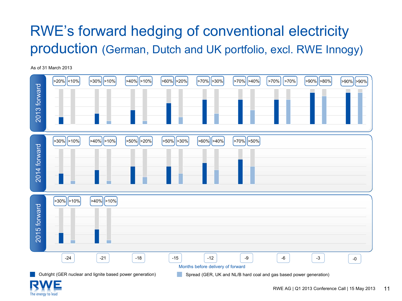### RWE's forward hedging of conventional electricity production (German, Dutch and UK portfolio, excl. RWE Innogy)

As of 31 March 2013



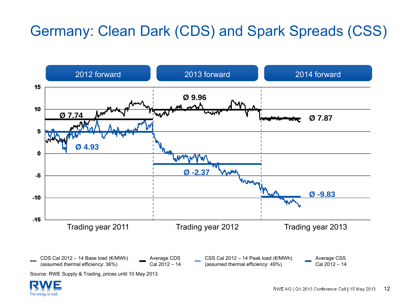### Germany: Clean Dark (CDS) and Spark Spreads (CSS)



Source: RWE Supply & Trading, prices until 10 May 2013

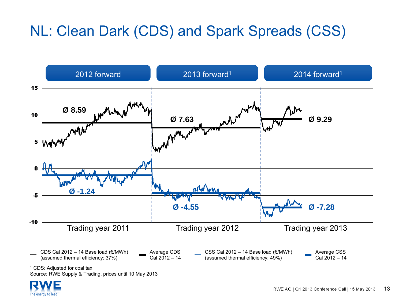### NL: Clean Dark (CDS) and Spark Spreads (CSS)



<sup>1</sup> CDS: Adjusted for coal tax

Source: RWE Supply & Trading, prices until 10 May 2013

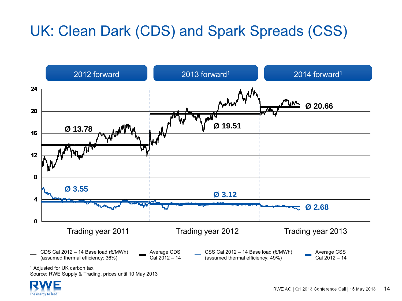### UK: Clean Dark (CDS) and Spark Spreads (CSS)



<sup>1</sup> Adjusted for UK carbon tax Source: RWE Supply & Trading, prices until 10 May 2013

The energy to lead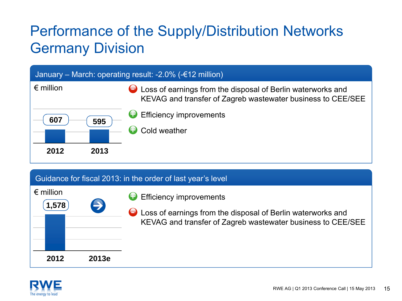### Performance of the Supply/Distribution Networks Germany Division

| January – March: operating result: -2.0% (- $\epsilon$ 12 million) |      |                                                                                                                            |  |  |  |  |
|--------------------------------------------------------------------|------|----------------------------------------------------------------------------------------------------------------------------|--|--|--|--|
| $\epsilon$ million                                                 |      | Loss of earnings from the disposal of Berlin waterworks and<br>KEVAG and transfer of Zagreb wastewater business to CEE/SEE |  |  |  |  |
| 607                                                                | 595  | Efficiency improvements<br>Cold weather                                                                                    |  |  |  |  |
| 2012                                                               | 2013 |                                                                                                                            |  |  |  |  |

Efficiency improvements

**D** Loss of earnings from the disposal of Berlin waterworks and

KEVAG and transfer of Zagreb wastewater business to CEE/SEE

#### Guidance for fiscal 2013: in the order of last year's level

+

| 2012                         | 2013e |
|------------------------------|-------|
|                              |       |
| $\epsilon$ million<br>1,578) | E     |

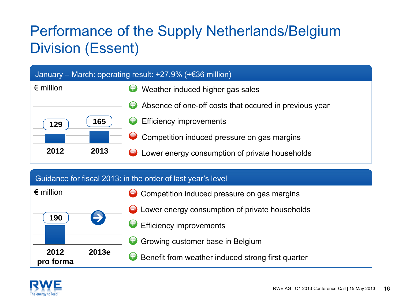### Performance of the Supply Netherlands/Belgium Division (Essent)

| January – March: operating result: $+27.9\%$ ( $+636$ million) |      |                                                             |  |  |  |  |
|----------------------------------------------------------------|------|-------------------------------------------------------------|--|--|--|--|
| $\epsilon$ million                                             |      | Weather induced higher gas sales<br>U                       |  |  |  |  |
|                                                                |      | Absence of one-off costs that occured in previous year<br>9 |  |  |  |  |
| 129                                                            | 165  | $\bigoplus$ Efficiency improvements                         |  |  |  |  |
|                                                                |      | Competition induced pressure on gas margins<br>$\bullet$    |  |  |  |  |
| 2012                                                           | 2013 | Lower energy consumption of private households              |  |  |  |  |

#### Guidance for fiscal 2013: in the order of last year's level



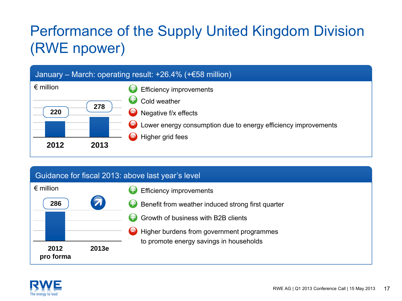### Performance of the Supply United Kingdom Division (RWE npower)



#### Guidance for fiscal 2013: above last year's level



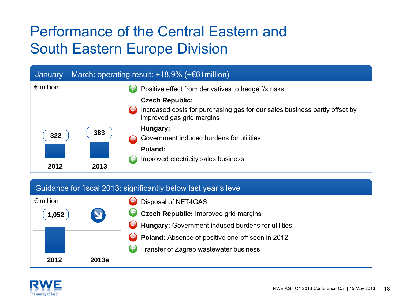### Performance of the Central Eastern andSouth Eastern Europe Division



#### Guidance for fiscal 2013: significantly below last year's level



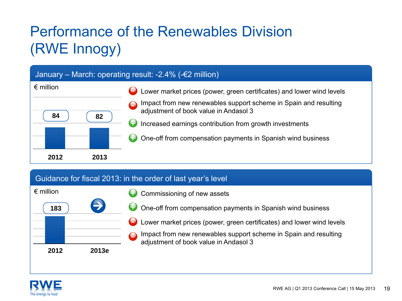## Performance of the Renewables Division(RWE Innogy)

#### January – March: operating result: -2.4% (-€2 million)



#### Guidance for fiscal 2013: in the order of last year's level



- Commissioning of new assets
- One-off from compensation payments in Spanish wind business
- Lower market prices (power, green certificates) and lower wind levels

Impact from new renewables support scheme in Spain and resulting adjustment of book value in Andasol 3

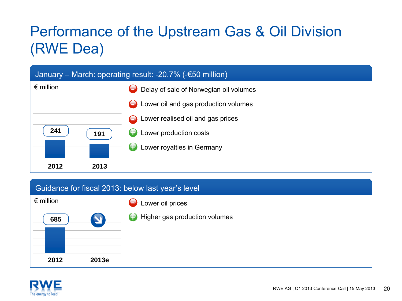### Performance of the Upstream Gas & Oil Division (RWE Dea)



#### Guidance for fiscal 2013: below last year's level



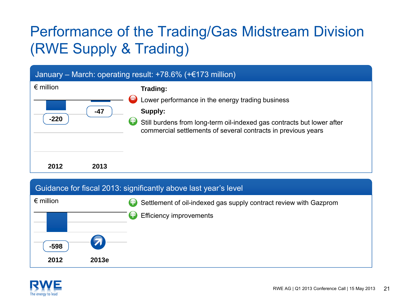### Performance of the Trading/Gas Midstream Division (RWE Supply & Trading)



#### Guidance for fiscal 2013: significantly above last year's level



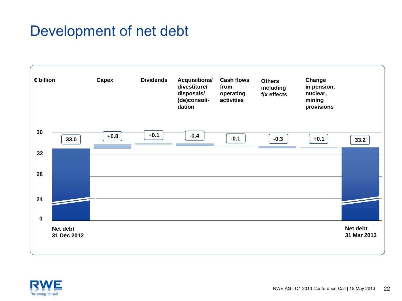### Development of net debt



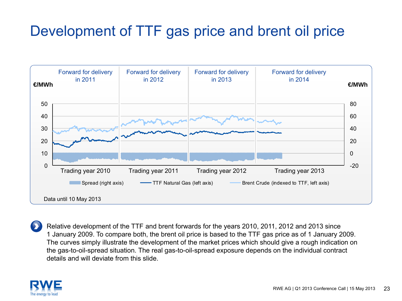### Development of TTF gas price and brent oil price



Relative development of the TTF and brent forwards for the years 2010, 2011, 2012 and 2013 since 1 January 2009. To compare both, the brent oil price is based to the TTF gas price as of 1 January 2009. The curves simply illustrate the development of the market prices which should give a rough indication on the gas-to-oil-spread situation. The real gas-to-oil-spread exposure depends on the individual contract details and will deviate from this slide.

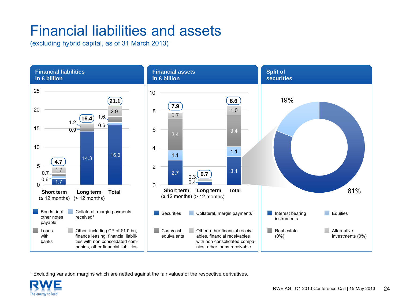### Financial liabilities and assets

(excluding hybrid capital, as of 31 March 2013)



1 Excluding variation margins which are netted against the fair values of the respective derivatives.

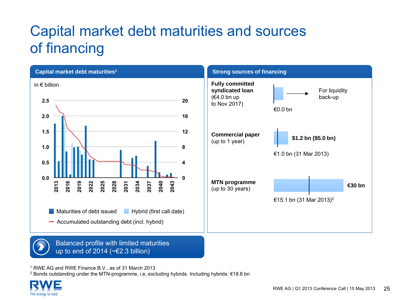### Capital market debt maturities and sources of financing



1 RWE AG and RWE Finance B.V., as of 31 March 2013

 $^2$  Bonds outstanding under the MTN-programme, i.e. excluding hybrids. Including hybrids: €18.8 bn

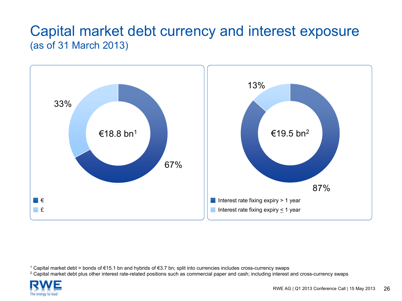### Capital market debt currency and interest exposure (as of 31 March 2013)



1 Capital market debt = bonds of €15.1 bn and hybrids of €3.7 bn; split into currencies includes cross-currency swaps

 $^{\rm 2}$  Capital market debt plus other interest rate-related positions such as commercial paper and cash; including interest and cross-currency swaps

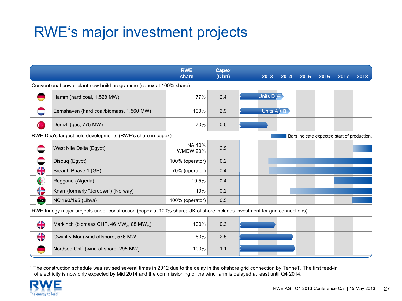### RWE's major investment projects

|                                                                                                                          |                                                                    | <b>RWE</b><br>share       | <b>Capex</b><br>$(\in$ bn) |  | 2013                  | 2014 | 2015                                        | 2016 | 2017 | 2018 |
|--------------------------------------------------------------------------------------------------------------------------|--------------------------------------------------------------------|---------------------------|----------------------------|--|-----------------------|------|---------------------------------------------|------|------|------|
|                                                                                                                          | Conventional power plant new build programme (capex at 100% share) |                           |                            |  |                       |      |                                             |      |      |      |
|                                                                                                                          | Hamm (hard coal, 1,528 MW)                                         | 77%                       | 2.4                        |  | Units $D$             |      |                                             |      |      |      |
|                                                                                                                          | Eemshaven (hard coal/biomass, 1,560 MW)                            | 100%                      | 2.9                        |  | Units $A \setminus B$ |      |                                             |      |      |      |
| $\mathbf{C}$                                                                                                             | Denizli (gas, 775 MW)                                              | 70%                       | 0.5                        |  |                       |      |                                             |      |      |      |
|                                                                                                                          | RWE Dea's largest field developments (RWE's share in capex)        |                           |                            |  |                       |      | Bars indicate expected start of production. |      |      |      |
|                                                                                                                          | West Nile Delta (Egypt)                                            | NA 40%<br><b>WMDW 20%</b> | 2.9                        |  |                       |      |                                             |      |      |      |
|                                                                                                                          | Disouq (Egypt)                                                     | 100% (operator)           | 0.2                        |  |                       |      |                                             |      |      |      |
| <b>AR</b>                                                                                                                | Breagh Phase 1 (GB)                                                | 70% (operator)            | 0.4                        |  |                       |      |                                             |      |      |      |
| $\bullet$                                                                                                                | Reggane (Algeria)                                                  | 19.5%                     | 0.4                        |  |                       |      |                                             |      |      |      |
| €                                                                                                                        | Knarr (formerly "Jordbær") (Norway)                                | 10%                       | 0.2                        |  |                       |      |                                             |      |      |      |
| $\bullet$                                                                                                                | NC 193/195 (Libya)                                                 | 100% (operator)           | 0.5                        |  |                       |      |                                             |      |      |      |
| RWE Innogy major projects under construction (capex at 100% share; UK offshore includes investment for grid connections) |                                                                    |                           |                            |  |                       |      |                                             |      |      |      |
| $\frac{1}{2}$                                                                                                            | Markinch (biomass CHP, 46 MW <sub>e</sub> , 88 MW <sub>th</sub> )  | 100%                      | 0.3                        |  |                       |      |                                             |      |      |      |
| $\frac{\text{N}}{\text{N}}$                                                                                              | Gwynt y Môr (wind offshore, 576 MW)                                | 60%                       | 2.5                        |  |                       |      |                                             |      |      |      |
|                                                                                                                          | Nordsee Ost <sup>1</sup> (wind offshore, 295 MW)                   | 100%                      | 1.1                        |  |                       |      |                                             |      |      |      |

1 The construction schedule was revised several times in 2012 due to the delay in the offshore grid connection by TenneT. The first feed-in of electricity is now only expected by Mid 2014 and the commissioning of the wind farm is delayed at least until Q4 2014.